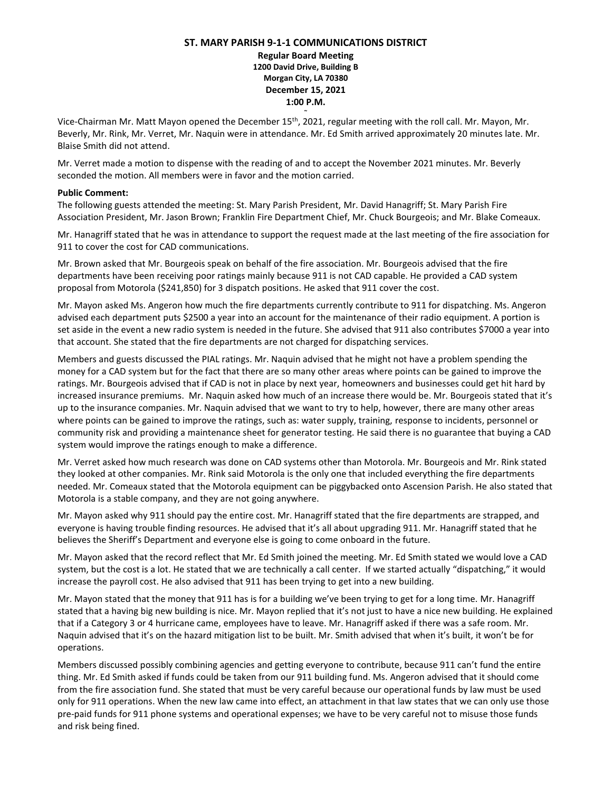## **ST. MARY PARISH 9-1-1 COMMUNICATIONS DISTRICT**

**Regular Board Meeting 1200 David Drive, Building B Morgan City, LA 70380 December 15, 2021 1:00 P.M.**

**~**

Vice-Chairman Mr. Matt Mayon opened the December 15<sup>th</sup>, 2021, regular meeting with the roll call. Mr. Mayon, Mr. Beverly, Mr. Rink, Mr. Verret, Mr. Naquin were in attendance. Mr. Ed Smith arrived approximately 20 minutes late. Mr. Blaise Smith did not attend.

Mr. Verret made a motion to dispense with the reading of and to accept the November 2021 minutes. Mr. Beverly seconded the motion. All members were in favor and the motion carried.

## **Public Comment:**

The following guests attended the meeting: St. Mary Parish President, Mr. David Hanagriff; St. Mary Parish Fire Association President, Mr. Jason Brown; Franklin Fire Department Chief, Mr. Chuck Bourgeois; and Mr. Blake Comeaux.

Mr. Hanagriff stated that he was in attendance to support the request made at the last meeting of the fire association for 911 to cover the cost for CAD communications.

Mr. Brown asked that Mr. Bourgeois speak on behalf of the fire association. Mr. Bourgeois advised that the fire departments have been receiving poor ratings mainly because 911 is not CAD capable. He provided a CAD system proposal from Motorola (\$241,850) for 3 dispatch positions. He asked that 911 cover the cost.

Mr. Mayon asked Ms. Angeron how much the fire departments currently contribute to 911 for dispatching. Ms. Angeron advised each department puts \$2500 a year into an account for the maintenance of their radio equipment. A portion is set aside in the event a new radio system is needed in the future. She advised that 911 also contributes \$7000 a year into that account. She stated that the fire departments are not charged for dispatching services.

Members and guests discussed the PIAL ratings. Mr. Naquin advised that he might not have a problem spending the money for a CAD system but for the fact that there are so many other areas where points can be gained to improve the ratings. Mr. Bourgeois advised that if CAD is not in place by next year, homeowners and businesses could get hit hard by increased insurance premiums. Mr. Naquin asked how much of an increase there would be. Mr. Bourgeois stated that it's up to the insurance companies. Mr. Naquin advised that we want to try to help, however, there are many other areas where points can be gained to improve the ratings, such as: water supply, training, response to incidents, personnel or community risk and providing a maintenance sheet for generator testing. He said there is no guarantee that buying a CAD system would improve the ratings enough to make a difference.

Mr. Verret asked how much research was done on CAD systems other than Motorola. Mr. Bourgeois and Mr. Rink stated they looked at other companies. Mr. Rink said Motorola is the only one that included everything the fire departments needed. Mr. Comeaux stated that the Motorola equipment can be piggybacked onto Ascension Parish. He also stated that Motorola is a stable company, and they are not going anywhere.

Mr. Mayon asked why 911 should pay the entire cost. Mr. Hanagriff stated that the fire departments are strapped, and everyone is having trouble finding resources. He advised that it's all about upgrading 911. Mr. Hanagriff stated that he believes the Sheriff's Department and everyone else is going to come onboard in the future.

Mr. Mayon asked that the record reflect that Mr. Ed Smith joined the meeting. Mr. Ed Smith stated we would love a CAD system, but the cost is a lot. He stated that we are technically a call center. If we started actually "dispatching," it would increase the payroll cost. He also advised that 911 has been trying to get into a new building.

Mr. Mayon stated that the money that 911 has is for a building we've been trying to get for a long time. Mr. Hanagriff stated that a having big new building is nice. Mr. Mayon replied that it's not just to have a nice new building. He explained that if a Category 3 or 4 hurricane came, employees have to leave. Mr. Hanagriff asked if there was a safe room. Mr. Naquin advised that it's on the hazard mitigation list to be built. Mr. Smith advised that when it's built, it won't be for operations.

Members discussed possibly combining agencies and getting everyone to contribute, because 911 can't fund the entire thing. Mr. Ed Smith asked if funds could be taken from our 911 building fund. Ms. Angeron advised that it should come from the fire association fund. She stated that must be very careful because our operational funds by law must be used only for 911 operations. When the new law came into effect, an attachment in that law states that we can only use those pre-paid funds for 911 phone systems and operational expenses; we have to be very careful not to misuse those funds and risk being fined.